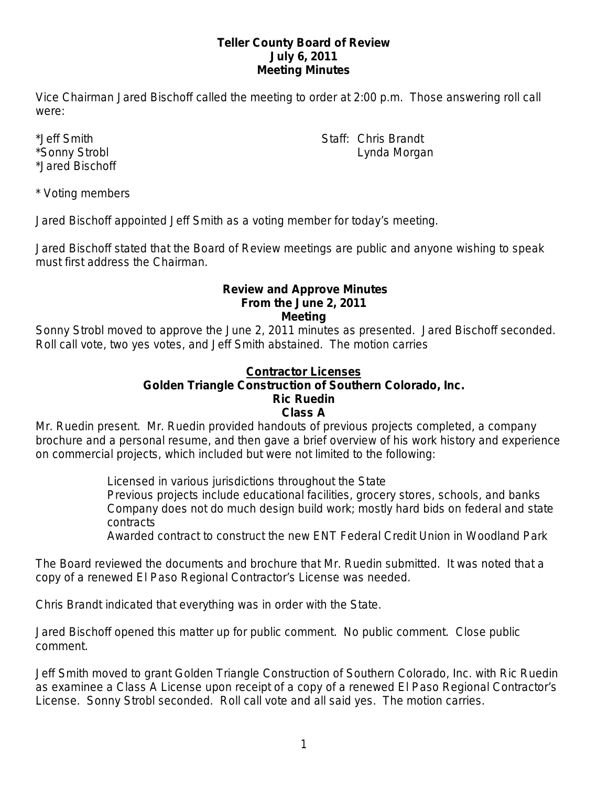### **Teller County Board of Review July 6, 2011 Meeting Minutes**

Vice Chairman Jared Bischoff called the meeting to order at 2:00 p.m. Those answering roll call were:

\*Jared Bischoff

\*Jeff Smith Staff: Chris Brandt \*Sonny Strobl Lynda Morgan

\* Voting members

Jared Bischoff appointed Jeff Smith as a voting member for today's meeting.

Jared Bischoff stated that the Board of Review meetings are public and anyone wishing to speak must first address the Chairman.

### **Review and Approve Minutes From the June 2, 2011 Meeting**

Sonny Strobl moved to approve the June 2, 2011 minutes as presented. Jared Bischoff seconded. Roll call vote, two yes votes, and Jeff Smith abstained. The motion carries

# **Contractor Licenses**

# **Golden Triangle Construction of Southern Colorado, Inc.**

# **Ric Ruedin**

### **Class A**

Mr. Ruedin present. Mr. Ruedin provided handouts of previous projects completed, a company brochure and a personal resume, and then gave a brief overview of his work history and experience on commercial projects, which included but were not limited to the following:

> Licensed in various jurisdictions throughout the State Previous projects include educational facilities, grocery stores, schools, and banks Company does not do much design build work; mostly hard bids on federal and state contracts

Awarded contract to construct the new ENT Federal Credit Union in Woodland Park

The Board reviewed the documents and brochure that Mr. Ruedin submitted. It was noted that a copy of a renewed El Paso Regional Contractor's License was needed.

Chris Brandt indicated that everything was in order with the State.

Jared Bischoff opened this matter up for public comment. No public comment. Close public comment.

Jeff Smith moved to grant Golden Triangle Construction of Southern Colorado, Inc. with Ric Ruedin as examinee a Class A License upon receipt of a copy of a renewed El Paso Regional Contractor's License. Sonny Strobl seconded. Roll call vote and all said yes. The motion carries.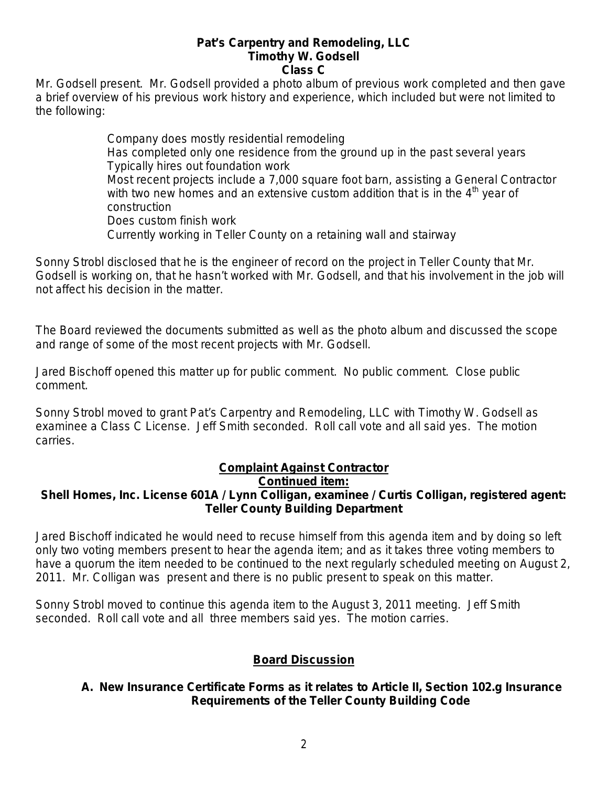#### **Pat's Carpentry and Remodeling, LLC Timothy W. Godsell Class C**

Mr. Godsell present. Mr. Godsell provided a photo album of previous work completed and then gave a brief overview of his previous work history and experience, which included but were not limited to the following:

> Company does mostly residential remodeling Has completed only one residence from the ground up in the past several years Typically hires out foundation work Most recent projects include a 7,000 square foot barn, assisting a General Contractor with two new homes and an extensive custom addition that is in the  $4<sup>th</sup>$  year of construction Does custom finish work Currently working in Teller County on a retaining wall and stairway

Sonny Strobl disclosed that he is the engineer of record on the project in Teller County that Mr. Godsell is working on, that he hasn't worked with Mr. Godsell, and that his involvement in the job will not affect his decision in the matter.

The Board reviewed the documents submitted as well as the photo album and discussed the scope and range of some of the most recent projects with Mr. Godsell.

Jared Bischoff opened this matter up for public comment. No public comment. Close public comment.

Sonny Strobl moved to grant Pat's Carpentry and Remodeling, LLC with Timothy W. Godsell as examinee a Class C License. Jeff Smith seconded. Roll call vote and all said yes. The motion carries.

# **Complaint Against Contractor**

### **Continued item:**

# **Shell Homes, Inc. License 601A / Lynn Colligan, examinee / Curtis Colligan, registered agent: Teller County Building Department**

Jared Bischoff indicated he would need to recuse himself from this agenda item and by doing so left only two voting members present to hear the agenda item; and as it takes three voting members to have a quorum the item needed to be continued to the next regularly scheduled meeting on August 2, 2011. Mr. Colligan was present and there is no public present to speak on this matter.

Sonny Strobl moved to continue this agenda item to the August 3, 2011 meeting. Jeff Smith seconded. Roll call vote and all three members said yes. The motion carries.

# **Board Discussion**

# **A. New Insurance Certificate Forms as it relates to Article II, Section 102.g Insurance Requirements of the Teller County Building Code**